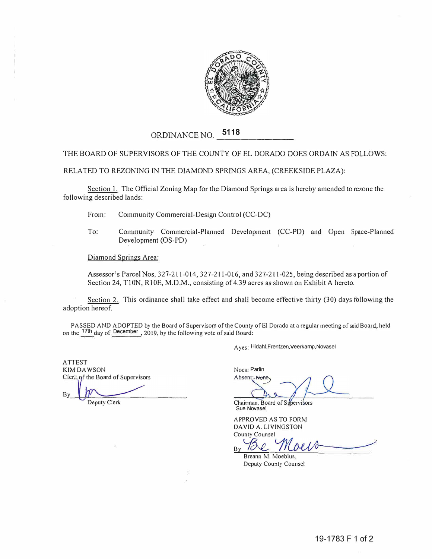

## ORDINANCE NO. 5118

## THE BOARD OF SUPERVISORS OF THE COUNTY OF EL DORADO DOES ORDAIN AS FOLLOWS:

RELATED TO REZONING IN THE DIAMOND SPRINGS AREA, (CREEKSIDE PLAZA):

Section 1. The Official Zoning Map for the Diamond Springs area is hereby amended to rezone the following described lands:

From: Community Commercial-Design Control (CC-DC)

To: Community Commercial-Planned Development (CC-PD) and Open Space-Planned Development (OS-PD)

Diamond Springs Area:

Assessor's Parcel Nos.327-211-014, 327-211-016, and 327-211-025, being described as a p01tion of Section 24, T10N, R10E, M.D.M., consisting of 4.39 acres as shown on Exhibit A hereto.

Section 2. This ordinance shall take effect ahd shall become effective thirty (30) days following the adoption hereof.

PASSED AND ADOPTED by the Board of Supervisors of the County of El Dorado at a regular meeting of said Board, held on the <sup>17th</sup> day of December, 2019, by the following vote of said Board:

Ayes: Hidahl,Frentzen,Veerkamp,Novasel

ATTEST KIM DAWSON Clerk of the Board of Supervisors

By Deputy Clerk

Noes: Par lin Absent: None

Chainman, Board of Supervisors Sue Novasel

APPROVED AS TO FORM DA YID A. LIVINGSTON County Counsel

By  $ICV$ 

Breann M. Moebius, Deputy County Counsel